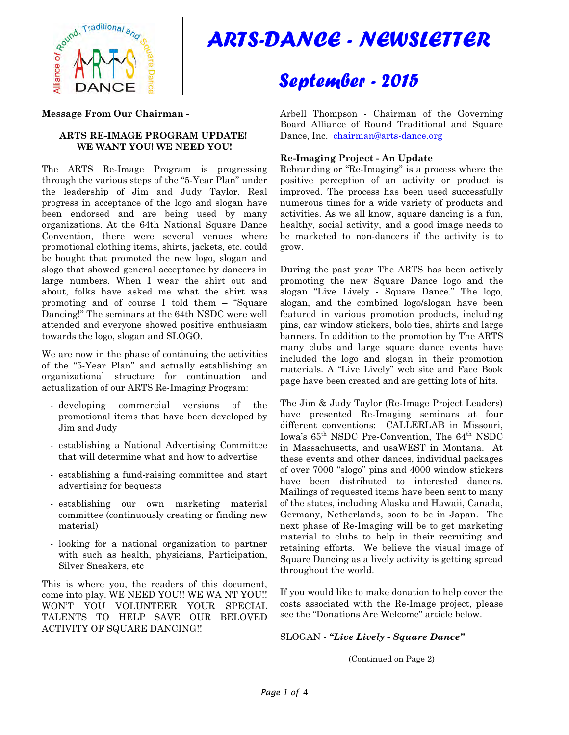

# *ARTS-DANCE - NEWSLETTER*

## *September - 2015*

#### **Message From Our Chairman -**

#### **ARTS RE-IMAGE PROGRAM UPDATE! WE WANT YOU! WE NEED YOU!**

The ARTS Re-Image Program is progressing through the various steps of the "5-Year Plan" under the leadership of Jim and Judy Taylor. Real progress in acceptance of the logo and slogan have been endorsed and are being used by many organizations. At the 64th National Square Dance Convention, there were several venues where promotional clothing items, shirts, jackets, etc. could be bought that promoted the new logo, slogan and slogo that showed general acceptance by dancers in large numbers. When I wear the shirt out and about, folks have asked me what the shirt was promoting and of course I told them – "Square Dancing!" The seminars at the 64th NSDC were well attended and everyone showed positive enthusiasm towards the logo, slogan and SLOGO.

We are now in the phase of continuing the activities of the "5-Year Plan" and actually establishing an organizational structure for continuation and actualization of our ARTS Re-Imaging Program:

- developing commercial versions of the promotional items that have been developed by Jim and Judy
- establishing a National Advertising Committee that will determine what and how to advertise
- establishing a fund-raising committee and start advertising for bequests
- establishing our own marketing material committee (continuously creating or finding new material)
- looking for a national organization to partner with such as health, physicians, Participation, Silver Sneakers, etc

This is where you, the readers of this document, come into play. WE NEED YOU!! WE WA NT YOU!! WON'T YOU VOLUNTEER YOUR SPECIAL TALENTS TO HELP SAVE OUR BELOVED ACTIVITY OF SQUARE DANCING!!

Arbell Thompson - Chairman of the Governing Board Alliance of Round Traditional and Square Dance, Inc. [chairman@arts-dance.org](mailto:chairman@arts-dance.org)

## **Re-Imaging Project - An Update**

Rebranding or "Re-Imaging" is a process where the positive perception of an activity or product is improved. The process has been used successfully numerous times for a wide variety of products and activities. As we all know, square dancing is a fun, healthy, social activity, and a good image needs to be marketed to non-dancers if the activity is to grow.

During the past year The ARTS has been actively promoting the new Square Dance logo and the slogan "Live Lively - Square Dance." The logo, slogan, and the combined logo/slogan have been featured in various promotion products, including pins, car window stickers, bolo ties, shirts and large banners. In addition to the promotion by The ARTS many clubs and large square dance events have included the logo and slogan in their promotion materials. A "Live Lively" web site and Face Book page have been created and are getting lots of hits.

The Jim & Judy Taylor (Re-Image Project Leaders) have presented Re-Imaging seminars at four different conventions: CALLERLAB in Missouri, Iowa's  $65<sup>th</sup>$  NSDC Pre-Convention, The  $64<sup>th</sup>$  NSDC in Massachusetts, and usaWEST in Montana. At these events and other dances, individual packages of over 7000 "slogo" pins and 4000 window stickers have been distributed to interested dancers. Mailings of requested items have been sent to many of the states, including Alaska and Hawaii, Canada, Germany, Netherlands, soon to be in Japan. The next phase of Re-Imaging will be to get marketing material to clubs to help in their recruiting and retaining efforts. We believe the visual image of Square Dancing as a lively activity is getting spread throughout the world.

If you would like to make donation to help cover the costs associated with the Re-Image project, please see the "Donations Are Welcome" article below.

## SLOGAN - *"Live Lively - Square Dance"*

(Continued on Page 2)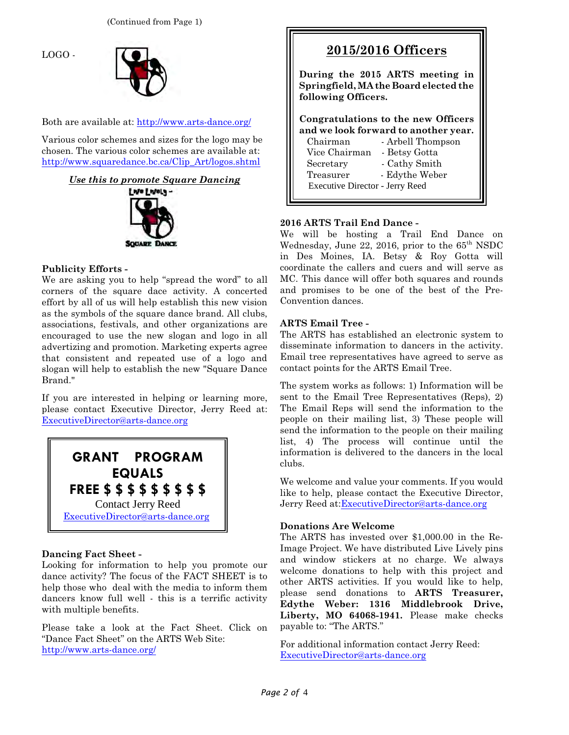LOGO -



Both are available at:<http://www.arts-dance.org/>

Various color schemes and sizes for the logo may be chosen. The various color schemes are available at: [http://www.squaredance.bc.ca/Clip\\_Art/logos.shtml](http://www.squaredance.bc.ca/Clip_Art/logos.shtml)





## **Publicity Efforts -**

We are asking you to help "spread the word" to all corners of the square dace activity. A concerted effort by all of us will help establish this new vision as the symbols of the square dance brand. All clubs, associations, festivals, and other organizations are encouraged to use the new slogan and logo in all advertizing and promotion. Marketing experts agree that consistent and repeated use of a logo and slogan will help to establish the new "Square Dance Brand."

If you are interested in helping or learning more, please contact Executive Director, Jerry Reed at: [ExecutiveDirector@arts-dance.org](mailto:ExecutiveDirector@arts-dance.org)



## **Dancing Fact Sheet -**

Looking for information to help you promote our dance activity? The focus of the FACT SHEET is to help those who deal with the media to inform them dancers know full well - this is a terrific activity with multiple benefits.

Please take a look at the Fact Sheet. Click on "Dance Fact Sheet" on the ARTS Web Site: <http://www.arts-dance.org/>

| 2015/2016 Officers                                                                                                                                                                                                                                    |
|-------------------------------------------------------------------------------------------------------------------------------------------------------------------------------------------------------------------------------------------------------|
| During the 2015 ARTS meeting in<br>Springfield, MA the Board elected the<br>following Officers.                                                                                                                                                       |
| Congratulations to the new Officers<br>and we look forward to another year.<br>Chairman<br>- Arbell Thompson<br>Vice Chairman<br>- Betsy Gotta<br>- Cathy Smith<br>Secretary<br>- Edythe Weber<br>Treasurer<br><b>Executive Director - Jerry Reed</b> |

## **2016 ARTS Trail End Dance -**

We will be hosting a Trail End Dance on Wednesday, June 22, 2016, prior to the  $65<sup>th</sup>$  NSDC in Des Moines, IA. Betsy & Roy Gotta will coordinate the callers and cuers and will serve as MC. This dance will offer both squares and rounds and promises to be one of the best of the Pre-Convention dances.

## **ARTS Email Tree -**

The ARTS has established an electronic system to disseminate information to dancers in the activity. Email tree representatives have agreed to serve as contact points for the ARTS Email Tree.

The system works as follows: 1) Information will be sent to the Email Tree Representatives (Reps), 2) The Email Reps will send the information to the people on their mailing list, 3) These people will send the information to the people on their mailing list, 4) The process will continue until the information is delivered to the dancers in the local clubs.

We welcome and value your comments. If you would like to help, please contact the Executive Director, Jerry Reed at[:ExecutiveDirector@arts-dance.org](mailto:ExecutiveDirector@arts-dance.org)

## **Donations Are Welcome**

The ARTS has invested over \$1,000.00 in the Re-Image Project. We have distributed Live Lively pins and window stickers at no charge. We always welcome donations to help with this project and other ARTS activities. If you would like to help, please send donations to **ARTS Treasurer, Edythe Weber: 1316 Middlebrook Drive, Liberty, MO 64068-1941.** Please make checks payable to: "The ARTS."

For additional information contact Jerry Reed: [ExecutiveDirector@arts-dance.org](mailto:ExecutiveDirector@arts-dance.org)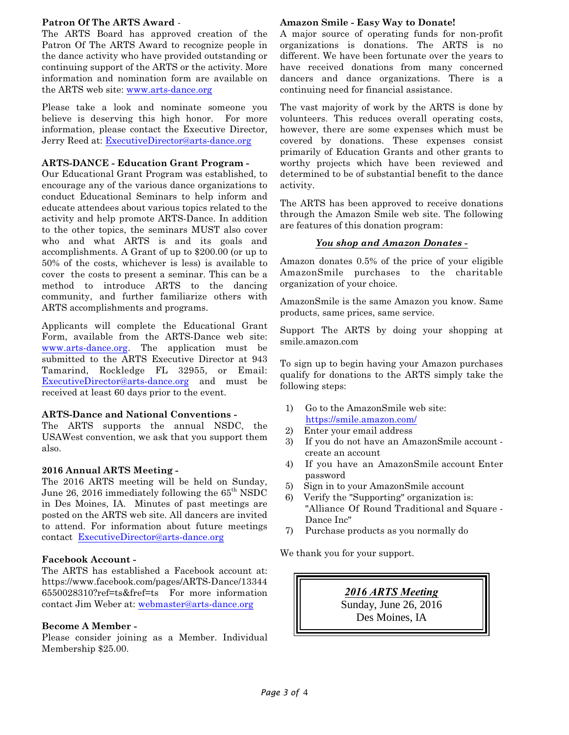#### **Patron Of The ARTS Award** -

The ARTS Board has approved creation of the Patron Of The ARTS Award to recognize people in the dance activity who have provided outstanding or continuing support of the ARTS or the activity. More information and nomination form are available on the ARTS web site: [www.arts-dance.org](http://www.arts-dance.org)

Please take a look and nominate someone you believe is deserving this high honor. For more information, please contact the Executive Director, Jerry Reed at: [ExecutiveDirector@arts-dance.org](mailto:ExecutiveDirector@arts-dance.org)

#### **ARTS-DANCE - Education Grant Program -**

Our Educational Grant Program was established, to encourage any of the various dance organizations to conduct Educational Seminars to help inform and educate attendees about various topics related to the activity and help promote ARTS-Dance. In addition to the other topics, the seminars MUST also cover who and what ARTS is and its goals and accomplishments. A Grant of up to \$200.00 (or up to 50% of the costs, whichever is less) is available to cover the costs to present a seminar. This can be a method to introduce ARTS to the dancing community, and further familiarize others with ARTS accomplishments and programs.

Applicants will complete the Educational Grant Form, available from the ARTS-Dance web site: [www.arts-dance.org](http://www.arts-dance.org). The application must be submitted to the ARTS Executive Director at 943 Tamarind, Rockledge FL 32955, or Email: [ExecutiveDirector@arts-dance.org](mailto:ExecutiveDirector@arts-dance.org) and must be received at least 60 days prior to the event.

## **ARTS-Dance and National Conventions -**

The ARTS supports the annual NSDC, the USAWest convention, we ask that you support them also.

## **2016 Annual ARTS Meeting -**

The 2016 ARTS meeting will be held on Sunday, June 26, 2016 immediately following the  $65<sup>th</sup>$  NSDC in Des Moines, IA. Minutes of past meetings are posted on the ARTS web site. All dancers are invited to attend. For information about future meetings contact [ExecutiveDirector@arts-dance.org](mailto:ExecutiveDirector@arts-dance.org)

## **Facebook Account -**

The ARTS has established a Facebook account at: https://www.facebook.com/pages/ARTS-Dance/13344 6550028310?ref=ts&fref=ts For more information contact Jim Weber at: [webmaster@arts-dance.org](mailto:webmaster@arts-dance.org)

## **Become A Member -**

Please consider joining as a Member. Individual Membership \$25.00.

#### **Amazon Smile - Easy Way to Donate!**

A major source of operating funds for non-profit organizations is donations. The ARTS is no different. We have been fortunate over the years to have received donations from many concerned dancers and dance organizations. There is a continuing need for financial assistance.

The vast majority of work by the ARTS is done by volunteers. This reduces overall operating costs, however, there are some expenses which must be covered by donations. These expenses consist primarily of Education Grants and other grants to worthy projects which have been reviewed and determined to be of substantial benefit to the dance activity.

The ARTS has been approved to receive donations through the Amazon Smile web site. The following are features of this donation program:

## *You shop and Amazon Donates -*

Amazon donates 0.5% of the price of your eligible AmazonSmile purchases to the charitable organization of your choice.

AmazonSmile is the same Amazon you know. Same products, same prices, same service.

Support The ARTS by doing your shopping at smile.amazon.com

To sign up to begin having your Amazon purchases qualify for donations to the ARTS simply take the following steps:

- 1) Go to the AmazonSmile web site: <https://smile.amazon.com/>
- 2) Enter your email address
- 3) If you do not have an AmazonSmile account create an account
- 4) If you have an AmazonSmile account Enter password
- 5) Sign in to your AmazonSmile account
- 6) Verify the "Supporting" organization is: "Alliance Of Round Traditional and Square - Dance Inc"
- 7) Purchase products as you normally do

We thank you for your support.

*2016 ARTS Meeting* Sunday, June 26, 2016 Des Moines, IA